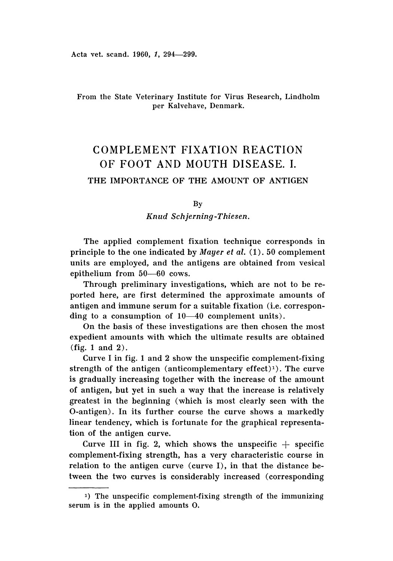Acta vet. scand. 1960, 1, 294-299.

# From the State Veterinary Institute for Virus Research, Lindholm per Kalvehave, Denmark.

# COMPLEMENT FIXATION REACTION OF FOOT AND MOUTH DISEASE. I.

# THE IMPORTANCE OF THE AMOUNT OF ANTIGEN

By

*Knud Sch.jerninq-Thiesen ,*

The applied complement fixation technique corresponds in principle to the one indicated by *Mayer et al,* (1) .50 complement units are employed, and the antigens are obtained from vesical epithelium from 50-60 cows.

Through preliminary investigations, which are not to be reported here, are first determined the approximate amounts of antigen and immune serum for a suitable fixation (i.e. corresponding to a consumption of  $10-40$  complement units).

On the basis of these investigations are then chosen the most expedient amounts with which the ultimate results are obtained  $(fig. 1 and 2).$ 

Curve I in fig. 1 and 2 show the unspecific complement-fixing strength of the antigen (anticomplementary effect)<sup>1</sup>). The curve is gradually increasing together with the increase of the amount of antigen, but yet in such a way that the increase is relatively greatest in the beginning (which is most clearly seen with the O-antigen). In its further course the curve shows a markedly linear tendency, which is fortunate for the graphical representation of the antigen curve.

Curve III in fig. 2, which shows the unspecific  $+$  specific complement-fixing strength, has a very characteristic course in relation to the antigen curve (curve I), in that the distance between the two curves is considerably increased (corresponding

<sup>1)</sup> The unspecific complement-fixing strength of the immunizing serum is in the applied amounts O.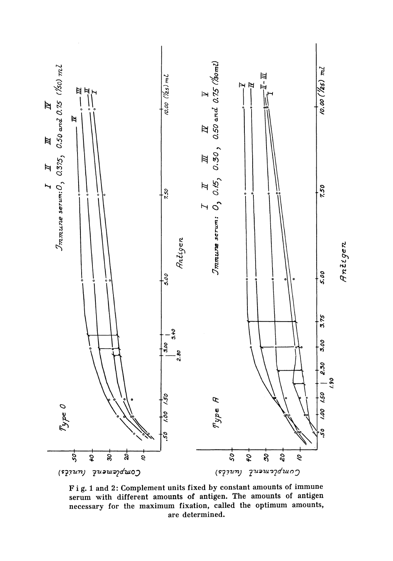

Fig. 1 and 2: Complement units fixed by constant amounts of immune serum with different amounts of antigen. The amounts of antigen necessary for the maximum fixation, called the optimum amounts, are determined.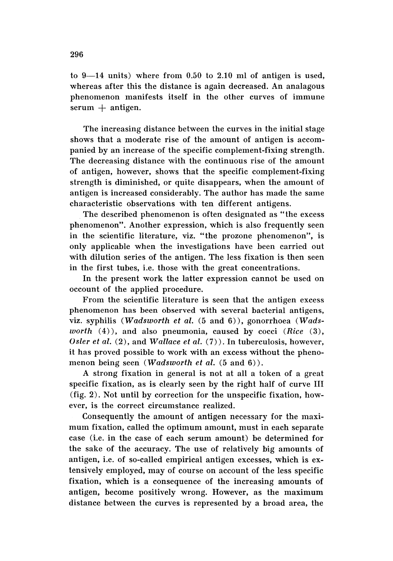to  $9-14$  units) where from 0.50 to 2.10 ml of antigen is used. whereas after this the distance is again decreased. An analagous phenomenon manifests itself in the other curves of immune  $serum + antigen.$ 

The increasing distance between the curves in the initial stage shows that a moderate rise of the amount of antigen is accompanied by an increase of the specific complement-fixing strength. The decreasing distance with the continuous rise of the amount of antigen, however, shows that the specific complement-fixing strength is diminished, or quite disappears, when the amount of antigen is increased considerably. The author has made the same characteristic observations with ten different antigens.

The described phenomenon is often designated as "the excess phenomenon". Another expression, which is also frequently seen in the scientific literature, viz . "the prozone phenomenon", is only applicable when the investigations have been carried out with dilution series of the antigen. The less fixation is then seen in the first tubes, i.e, those with the great concentrations.

In the present work the latter expression cannot be used on occount of the applied procedure.

From the scientific literature is seen that the antigen excess phenomenon has been observed with several bacterial antigens, viz. syphilis (*Wadsworth et al.* (5 and 6)), gonorrhoea (W*ads worth* (4)), and also pneumonia, caused by cocci *(Rice (3), Osler et al.* (2), and *Wallace et al.* (7)). In tuberculosis, however, it has proved possible to work with an excess without the phenomenon being seen (*Wadsworth et al.* (5 and 6)).

A strong fixation in general is not at all a token of a great specific fixation, as is clearly seen by the right half of curve III (fig. 2) . Not until by correction for the unspecific fixation, however, is the correct circumstance realized.

Consequently the amount of antigen necessary for the maximum fixation, called the optimum amount, must in each separate case (i.e. in the case of each serum amount) be determined for the sake of the accuracy. The use of relatively big amounts of antigen, i.e. of so-called empirical antigen excesses, which is extensively employed, may of course on account of the less specific fixation, which is a consequence of the increasing amounts of antigen, become positively wrong. However, as the maximum distance between the curves is represented by a broad area, the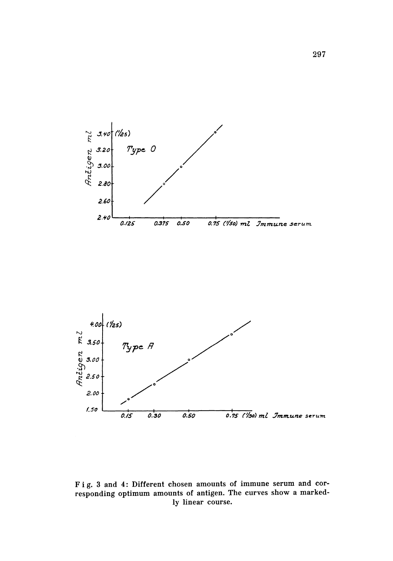



Fig. 3 and 4: Different chosen amounts of immune serum and corresponding optimum amounts of antigen. The curves show a markedly linear course.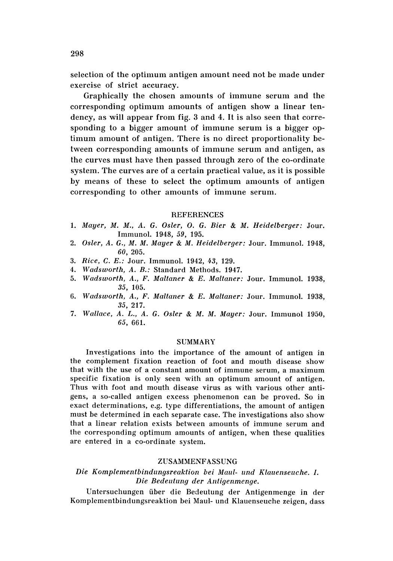selection of the optimum antigen amount need not be made under exercise of strict accuracy.

Graphically the chosen amounts of immune serum and the corresponding optimum amounts of antigen show a linear tendency, as will appear from fig. 3 and 4. It is also seen that corresponding to a bigger amount of immune serum is a bigger optimum amount of antigen. There is no direct proportionality between corresponding amounts of immune serum and antigen, as the curves must have then passed through zero of the co-ordinate system. The curves are of a certain practical value, as it is possible by means of these to select the optimum amounts of antigen corresponding to other amounts of immune serum.

#### **REFERENCES**

- *1. Mayer, M. M., A.* G. *Osler,* O. G. *Bier* & *M. Heidelberger:* Jour. Immunol. 1948, 59, 195.
- *2. Osler, A. G., M. M. Mayer* & *M. Heidelberger:* Jour. Immunol. 1948, *60, 205.*
- *3. Rice,* C. *E.:* Jour. Immunol. 1942, 43, 129.
- *4. Wadsworth, A.* B.: Standard Methods. 1947.
- *5. Wadsworth, A., F. Maltaner* & *E. Maltaner:* Jour. Immunol. 1938, 35, 105.
- *6. Wadsworth, A., F. Maltaner* & *E. Maltaner:* Jour. Immunol. 1938, 35, 217.
- *7. Wallace, A.* L., *A.* G. *Osler* & *M. M. Mayer:* Jour. Immunol 1950, 65, 661.

#### SUMMARY

Investigations into the importance of the amount of antigen in the complement fixation reaction of foot and mouth disease show that with the use of a constant amount of immune serum, a maximum specific fixation is only seen with an optimum amount of antigen. Thus with foot and mouth disease virus as with various other antigens, a so-called antigen excess phenomenon can be proved. So in exact determinations, e.g, type differentiations, the amount of antigen must be determined in each separate case. The investigations also show that a linear relation exists between amounts of immune serum and the corresponding optimum amounts of antigen, when these qualities are entered in a co-ordinate system.

#### ZUSAMMENFASSUNG

## *Die Komplementbindungsreaktion bei Maul- und Klauenseuche, L, Die Bedeutung der Antigenmenge.*

Untersuchungen tiber die Bedeutung der Antigenmenge in der Komplementbindungsreaktion bei Maul- und Klauenseuche zeigen, dass